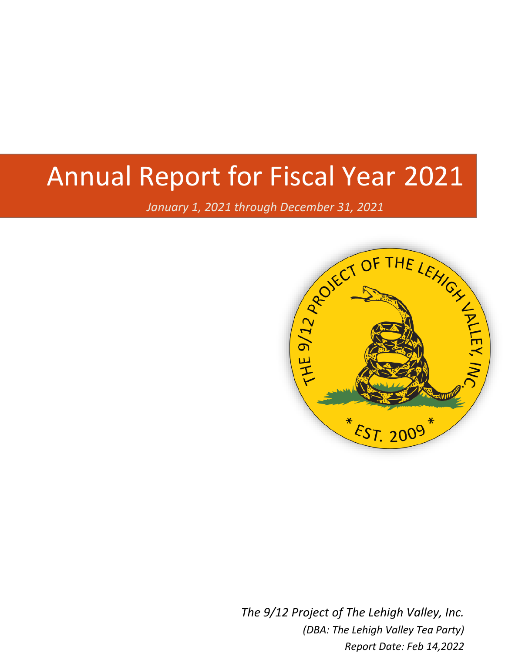# Annual Report for Fiscal Year 2021

*January 1, 2021 through December 31, 2021*



*The 9/12 Project of The Lehigh Valley, Inc. (DBA: The Lehigh Valley Tea Party) Report Date: Feb 14,2022*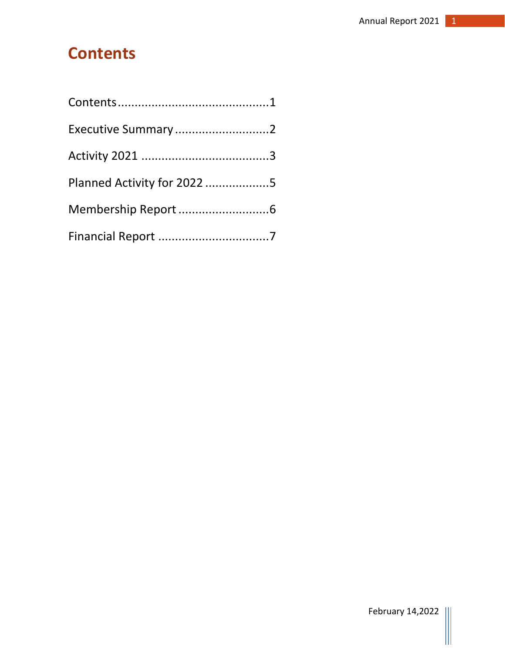# <span id="page-1-0"></span>**Contents**

| Executive Summary2          |  |
|-----------------------------|--|
|                             |  |
| Planned Activity for 2022 5 |  |
|                             |  |
|                             |  |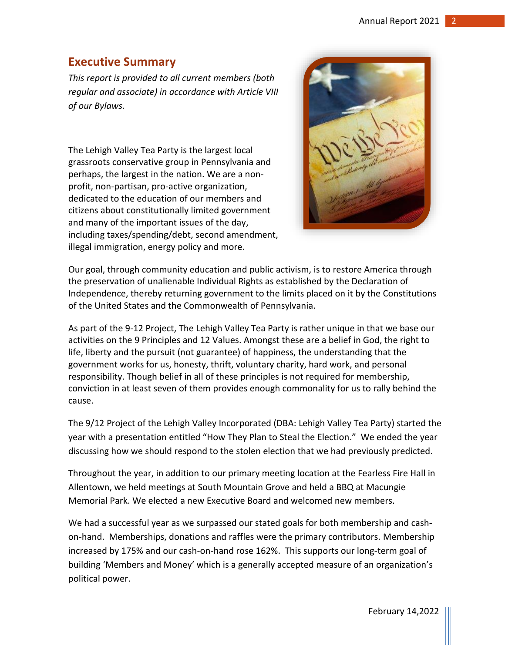#### <span id="page-2-0"></span>**Executive Summary**

*This report is provided to all current members (both regular and associate) in accordance with Article VIII of our Bylaws.*

The Lehigh Valley Tea Party is the largest local grassroots conservative group in Pennsylvania and perhaps, the largest in the nation. We are a nonprofit, non-partisan, pro-active organization, dedicated to the education of our members and citizens about constitutionally limited government and many of the important issues of the day, including taxes/spending/debt, second amendment, illegal immigration, energy policy and more.



Our goal, through community education and public activism, is to restore America through the preservation of unalienable Individual Rights as established by the Declaration of Independence, thereby returning government to the limits placed on it by the Constitutions of the United States and the Commonwealth of Pennsylvania.

As part of the 9-12 Project, The Lehigh Valley Tea Party is rather unique in that we base our activities on the 9 Principles and 12 Values. Amongst these are a belief in God, the right to life, liberty and the pursuit (not guarantee) of happiness, the understanding that the government works for us, honesty, thrift, voluntary charity, hard work, and personal responsibility. Though belief in all of these principles is not required for membership, conviction in at least seven of them provides enough commonality for us to rally behind the cause.

The 9/12 Project of the Lehigh Valley Incorporated (DBA: Lehigh Valley Tea Party) started the year with a presentation entitled "How They Plan to Steal the Election." We ended the year discussing how we should respond to the stolen election that we had previously predicted.

Throughout the year, in addition to our primary meeting location at the Fearless Fire Hall in Allentown, we held meetings at South Mountain Grove and held a BBQ at Macungie Memorial Park. We elected a new Executive Board and welcomed new members.

We had a successful year as we surpassed our stated goals for both membership and cashon-hand. Memberships, donations and raffles were the primary contributors. Membership increased by 175% and our cash-on-hand rose 162%. This supports our long-term goal of building 'Members and Money' which is a generally accepted measure of an organization's political power.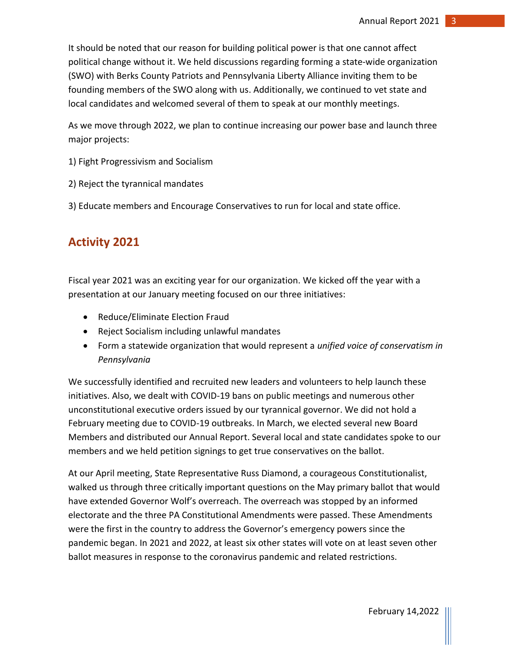It should be noted that our reason for building political power is that one cannot affect political change without it. We held discussions regarding forming a state-wide organization (SWO) with Berks County Patriots and Pennsylvania Liberty Alliance inviting them to be founding members of the SWO along with us. Additionally, we continued to vet state and local candidates and welcomed several of them to speak at our monthly meetings.

As we move through 2022, we plan to continue increasing our power base and launch three major projects:

- 1) Fight Progressivism and Socialism
- 2) Reject the tyrannical mandates
- 3) Educate members and Encourage Conservatives to run for local and state office.

## <span id="page-3-0"></span>**Activity 2021**

Fiscal year 2021 was an exciting year for our organization. We kicked off the year with a presentation at our January meeting focused on our three initiatives:

- Reduce/Eliminate Election Fraud
- Reject Socialism including unlawful mandates
- Form a statewide organization that would represent a *unified voice of conservatism in Pennsylvania*

We successfully identified and recruited new leaders and volunteers to help launch these initiatives. Also, we dealt with COVID-19 bans on public meetings and numerous other unconstitutional executive orders issued by our tyrannical governor. We did not hold a February meeting due to COVID-19 outbreaks. In March, we elected several new Board Members and distributed our Annual Report. Several local and state candidates spoke to our members and we held petition signings to get true conservatives on the ballot.

At our April meeting, State Representative Russ Diamond, a courageous Constitutionalist, walked us through three critically important questions on the May primary ballot that would have extended Governor Wolf's overreach. The overreach was stopped by an informed electorate and the three PA Constitutional Amendments were passed. These Amendments were the first in the country to address the Governor's emergency powers since the pandemic began. In 2021 and 2022, at least six other states will vote on at least seven other ballot measures in response to the coronavirus pandemic and related restrictions.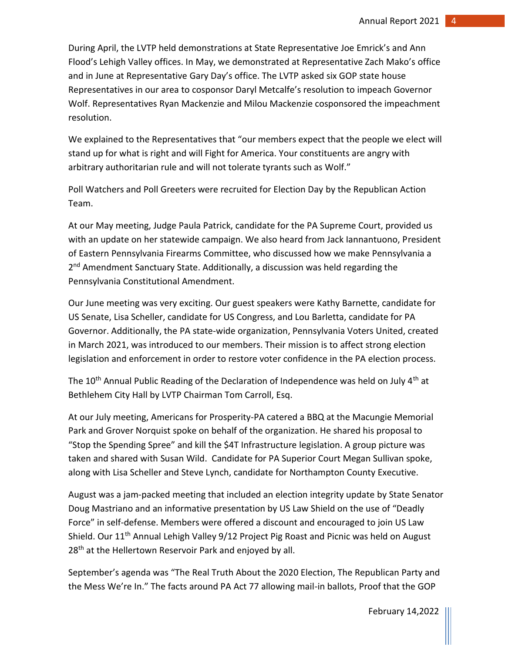During April, the LVTP held demonstrations at State Representative Joe Emrick's and Ann Flood's Lehigh Valley offices. In May, we demonstrated at Representative Zach Mako's office and in June at Representative Gary Day's office. The LVTP asked six GOP state house Representatives in our area to cosponsor Daryl Metcalfe's resolution to impeach Governor Wolf. Representatives Ryan Mackenzie and Milou Mackenzie cosponsored the impeachment resolution.

We explained to the Representatives that "our members expect that the people we elect will stand up for what is right and will Fight for America. Your constituents are angry with arbitrary authoritarian rule and will not tolerate tyrants such as Wolf."

Poll Watchers and Poll Greeters were recruited for Election Day by the Republican Action Team.

At our May meeting, Judge Paula Patrick, candidate for the PA Supreme Court, provided us with an update on her statewide campaign. We also heard from Jack Iannantuono, President of Eastern Pennsylvania Firearms Committee, who discussed how we make Pennsylvania a 2<sup>nd</sup> Amendment Sanctuary State. Additionally, a discussion was held regarding the Pennsylvania Constitutional Amendment.

Our June meeting was very exciting. Our guest speakers were Kathy Barnette, candidate for US Senate, Lisa Scheller, candidate for US Congress, and Lou Barletta, candidate for PA Governor. Additionally, the PA state-wide organization, Pennsylvania Voters United, created in March 2021, was introduced to our members. Their mission is to affect strong election legislation and enforcement in order to restore voter confidence in the PA election process.

The 10<sup>th</sup> Annual Public Reading of the Declaration of Independence was held on July 4<sup>th</sup> at Bethlehem City Hall by LVTP Chairman Tom Carroll, Esq.

At our July meeting, Americans for Prosperity-PA catered a BBQ at the Macungie Memorial Park and Grover Norquist spoke on behalf of the organization. He shared his proposal to "Stop the Spending Spree" and kill the \$4T Infrastructure legislation. A group picture was taken and shared with Susan Wild. Candidate for PA Superior Court Megan Sullivan spoke, along with Lisa Scheller and Steve Lynch, candidate for Northampton County Executive.

August was a jam-packed meeting that included an election integrity update by State Senator Doug Mastriano and an informative presentation by US Law Shield on the use of "Deadly Force" in self-defense. Members were offered a discount and encouraged to join US Law Shield. Our 11th Annual Lehigh Valley 9/12 Project Pig Roast and Picnic was held on August 28<sup>th</sup> at the Hellertown Reservoir Park and enjoyed by all.

September's agenda was "The Real Truth About the 2020 Election, The Republican Party and the Mess We're In." The facts around PA Act 77 allowing mail-in ballots, Proof that the GOP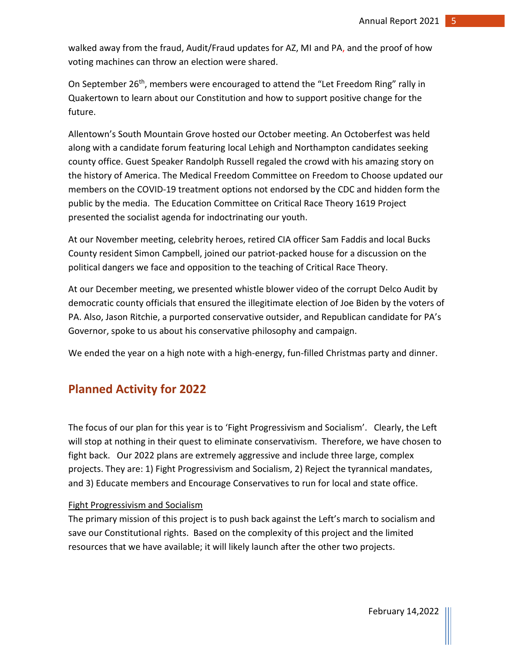walked away from the fraud, Audit/Fraud updates for AZ, MI and PA, and the proof of how voting machines can throw an election were shared.

On September 26<sup>th</sup>, members were encouraged to attend the "Let Freedom Ring" rally in Quakertown to learn about our Constitution and how to support positive change for the future.

Allentown's South Mountain Grove hosted our October meeting. An Octoberfest was held along with a candidate forum featuring local Lehigh and Northampton candidates seeking county office. Guest Speaker Randolph Russell regaled the crowd with his amazing story on the history of America. The Medical Freedom Committee on Freedom to Choose updated our members on the COVID-19 treatment options not endorsed by the CDC and hidden form the public by the media. The Education Committee on Critical Race Theory 1619 Project presented the socialist agenda for indoctrinating our youth.

At our November meeting, celebrity heroes, retired CIA officer Sam Faddis and local Bucks County resident Simon Campbell, joined our patriot-packed house for a discussion on the political dangers we face and opposition to the teaching of Critical Race Theory.

At our December meeting, we presented whistle blower video of the corrupt Delco Audit by democratic county officials that ensured the illegitimate election of Joe Biden by the voters of PA. Also, Jason Ritchie, a purported conservative outsider, and Republican candidate for PA's Governor, spoke to us about his conservative philosophy and campaign.

We ended the year on a high note with a high-energy, fun-filled Christmas party and dinner.

### <span id="page-5-0"></span>**Planned Activity for 2022**

The focus of our plan for this year is to 'Fight Progressivism and Socialism'. Clearly, the Left will stop at nothing in their quest to eliminate conservativism. Therefore, we have chosen to fight back. Our 2022 plans are extremely aggressive and include three large, complex projects. They are: 1) Fight Progressivism and Socialism, 2) Reject the tyrannical mandates, and 3) Educate members and Encourage Conservatives to run for local and state office.

#### Fight Progressivism and Socialism

The primary mission of this project is to push back against the Left's march to socialism and save our Constitutional rights. Based on the complexity of this project and the limited resources that we have available; it will likely launch after the other two projects.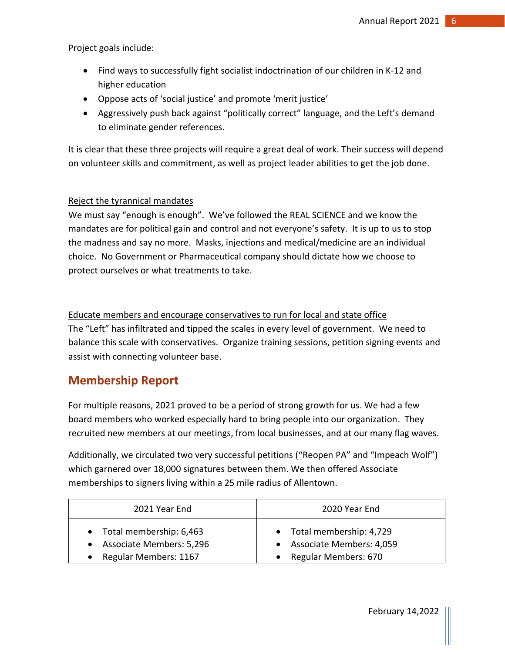Project goals include:

- Find ways to successfully fight socialist indoctrination of our children in K-12 and higher education
- Oppose acts of 'social justice' and promote 'merit justice'
- Aggressively push back against "politically correct" language, and the Left's demand to eliminate gender references.

It is clear that these three projects will require a great deal of work. Their success will depend on volunteer skills and commitment, as well as project leader abilities to get the job done.

#### Reject the tyrannical mandates

We must say "enough is enough". We've followed the REAL SCIENCE and we know the mandates are for political gain and control and not everyone's safety. It is up to us to stop the madness and say no more. Masks, injections and medical/medicine are an individual choice. No Government or Pharmaceutical company should dictate how we choose to protect ourselves or what treatments to take.

Educate members and encourage conservatives to run for local and state office The "Left" has infiltrated and tipped the scales in every level of government. We need to balance this scale with conservatives. Organize training sessions, petition signing events and assist with connecting volunteer base.

#### <span id="page-6-0"></span>**Membership Report**

For multiple reasons, 2021 proved to be a period of strong growth for us. We had a few board members who worked especially hard to bring people into our organization. They recruited new members at our meetings, from local businesses, and at our many flag waves.

Additionally, we circulated two very successful petitions ("Reopen PA" and "Impeach Wolf") which garnered over 18,000 signatures between them. We then offered Associate memberships to signers living within a 25 mile radius of Allentown.

| 2021 Year End              | 2020 Year End              |
|----------------------------|----------------------------|
| • Total membership: 6,463  | • Total membership: 4,729  |
| • Associate Members: 5,296 | • Associate Members: 4,059 |
| Regular Members: 1167      | • Regular Members: 670     |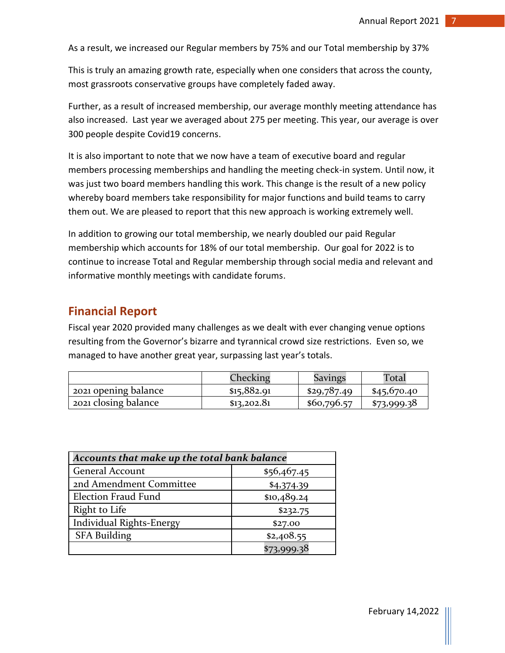As a result, we increased our Regular members by 75% and our Total membership by 37%

This is truly an amazing growth rate, especially when one considers that across the county, most grassroots conservative groups have completely faded away.

Further, as a result of increased membership, our average monthly meeting attendance has also increased. Last year we averaged about 275 per meeting. This year, our average is over 300 people despite Covid19 concerns.

It is also important to note that we now have a team of executive board and regular members processing memberships and handling the meeting check-in system. Until now, it was just two board members handling this work. This change is the result of a new policy whereby board members take responsibility for major functions and build teams to carry them out. We are pleased to report that this new approach is working extremely well.

In addition to growing our total membership, we nearly doubled our paid Regular membership which accounts for 18% of our total membership. Our goal for 2022 is to continue to increase Total and Regular membership through social media and relevant and informative monthly meetings with candidate forums.

#### <span id="page-7-0"></span>**Financial Report**

Fiscal year 2020 provided many challenges as we dealt with ever changing venue options resulting from the Governor's bizarre and tyrannical crowd size restrictions. Even so, we managed to have another great year, surpassing last year's totals.

|                      | Checking    | <b>Savings</b> | Total       |
|----------------------|-------------|----------------|-------------|
| 2021 opening balance | \$15,882.91 | \$29,787.49    | \$45,670.40 |
| 2021 closing balance | \$13,202.81 | \$60,796.57    | \$73,999.38 |

| Accounts that make up the total bank balance |             |  |
|----------------------------------------------|-------------|--|
| <b>General Account</b>                       | \$56,467.45 |  |
| 2nd Amendment Committee                      | \$4,374.39  |  |
| <b>Election Fraud Fund</b>                   | \$10,489.24 |  |
| Right to Life                                | \$232.75    |  |
| <b>Individual Rights-Energy</b>              | \$27.00     |  |
| <b>SFA Building</b>                          | \$2,408.55  |  |
|                                              | \$73,999.38 |  |